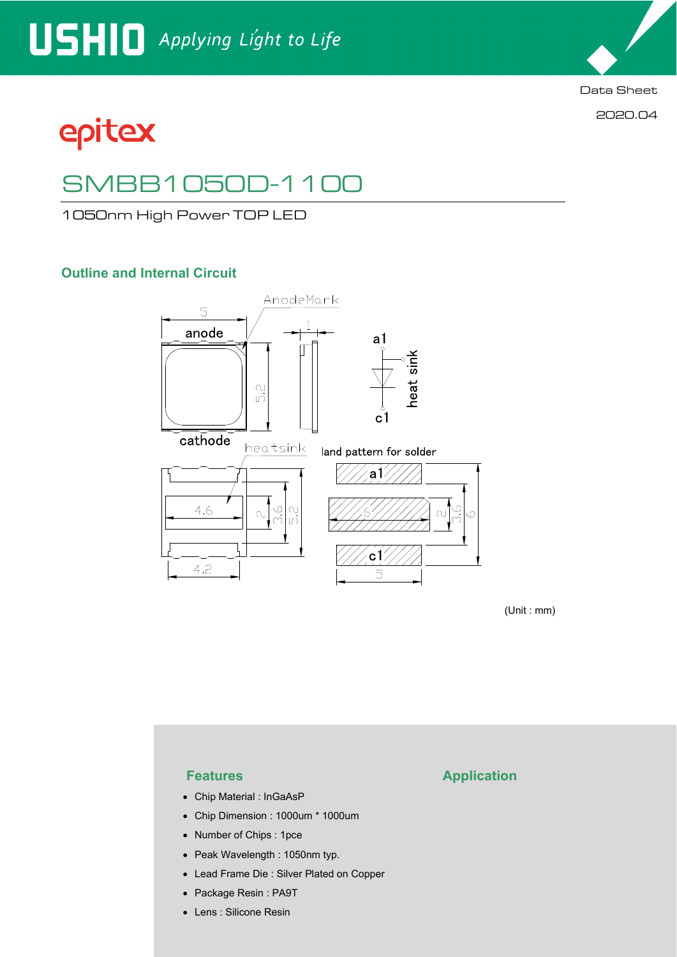

Data Sheet

2020.04

# epitex

## SMBB1050D-1100

1050nm High Power TOP LED

### **Outline and Internal Circuit**



(Unit : mm)

- Chip Material : InGaAsP
- Chip Dimension : 1000um \* 1000um
- Number of Chips : 1pce
- Peak Wavelength : 1050nm typ.
- Lead Frame Die : Silver Plated on Copper
- Package Resin : PA9T
- Lens : Silicone Resin

### **Features Application**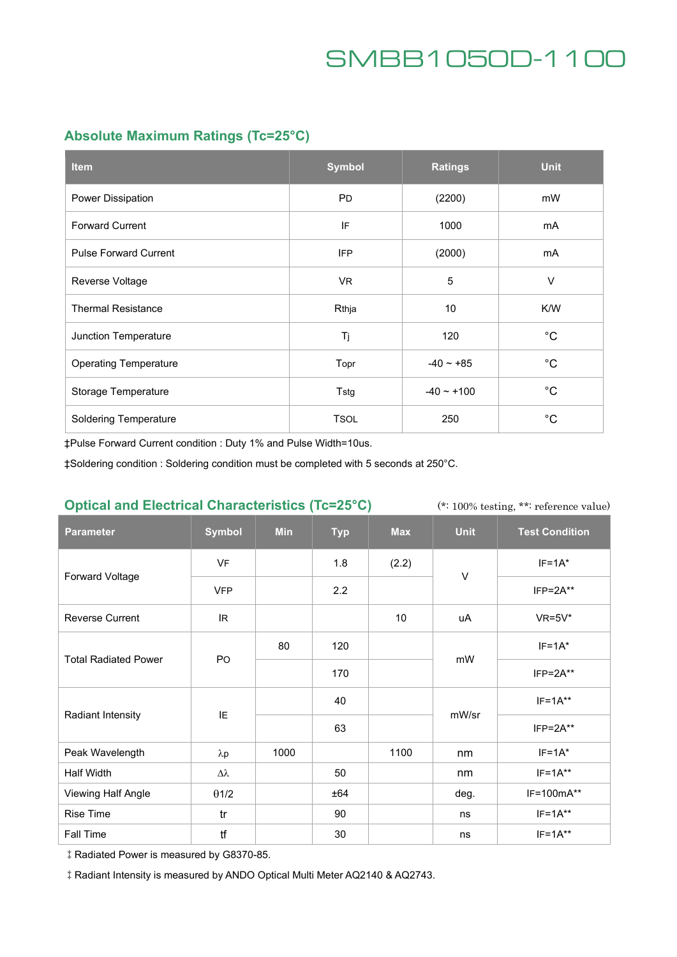### **Absolute Maximum Ratings (Tc=25°C)**

| <b>Item</b>                  | <b>Symbol</b> | <b>Ratings</b>  | <b>Unit</b>  |
|------------------------------|---------------|-----------------|--------------|
| Power Dissipation            | <b>PD</b>     | (2200)          | mW           |
| <b>Forward Current</b>       | IF            | 1000            | mA           |
| <b>Pulse Forward Current</b> | <b>IFP</b>    | (2000)          | mA           |
| Reverse Voltage              | VR.           | 5               | V            |
| <b>Thermal Resistance</b>    | Rthja         | 10              | K/W          |
| Junction Temperature         | Tj            | 120             | $^{\circ}$ C |
| <b>Operating Temperature</b> | Topr          | $-40 - +85$     | $^{\circ}$ C |
| Storage Temperature          | Tstg          | $-40 \sim +100$ | $^{\circ}$ C |
| <b>Soldering Temperature</b> | <b>TSOL</b>   | 250             | $^{\circ}C$  |

‡Pulse Forward Current condition : Duty 1% and Pulse Width=10us.

‡Soldering condition : Soldering condition must be completed with 5 seconds at 250°C.

### **Optical and Electrical Characteristics (Tc=25°C)**

(\*: 100% testing, \*\*: reference value)

| <b>Parameter</b>            | <b>Symbol</b>    | <b>Min</b> | <b>Typ</b> | <b>Max</b> | <b>Unit</b> | <b>Test Condition</b> |
|-----------------------------|------------------|------------|------------|------------|-------------|-----------------------|
| Forward Voltage             | <b>VF</b>        |            | 1.8        | (2.2)      | $\vee$      | $IF=1A*$              |
|                             | <b>VFP</b>       |            | 2.2        |            |             | $IFP = 2A**$          |
| <b>Reverse Current</b>      | IR.              |            |            | 10         | uA          | $VR=5V^*$             |
| <b>Total Radiated Power</b> | PO               | 80         | 120        |            | mW          | $IF=1A*$              |
|                             |                  |            | 170        |            |             | $IFP = 2A**$          |
| <b>Radiant Intensity</b>    | IE               |            | 40         |            | mW/sr       | $IF=1A**$             |
|                             |                  |            | 63         |            |             | $IFP = 2A**$          |
| Peak Wavelength             | $\lambda p$      | 1000       |            | 1100       | nm          | $IF=1A*$              |
| Half Width                  | $\Delta \lambda$ |            | 50         |            | nm          | $IF=1A**$             |
| Viewing Half Angle          | $\theta$ 1/2     |            | ±64        |            | deg.        | IF=100mA**            |
| <b>Rise Time</b>            | tr               |            | 90         |            | ns          | $IF=1A***$            |
| Fall Time                   | tf               |            | 30         |            | ns          | $IF=1A***$            |

‡Radiated Power is measured by G8370-85.

‡Radiant Intensity is measured by ANDO Optical Multi Meter AQ2140 & AQ2743.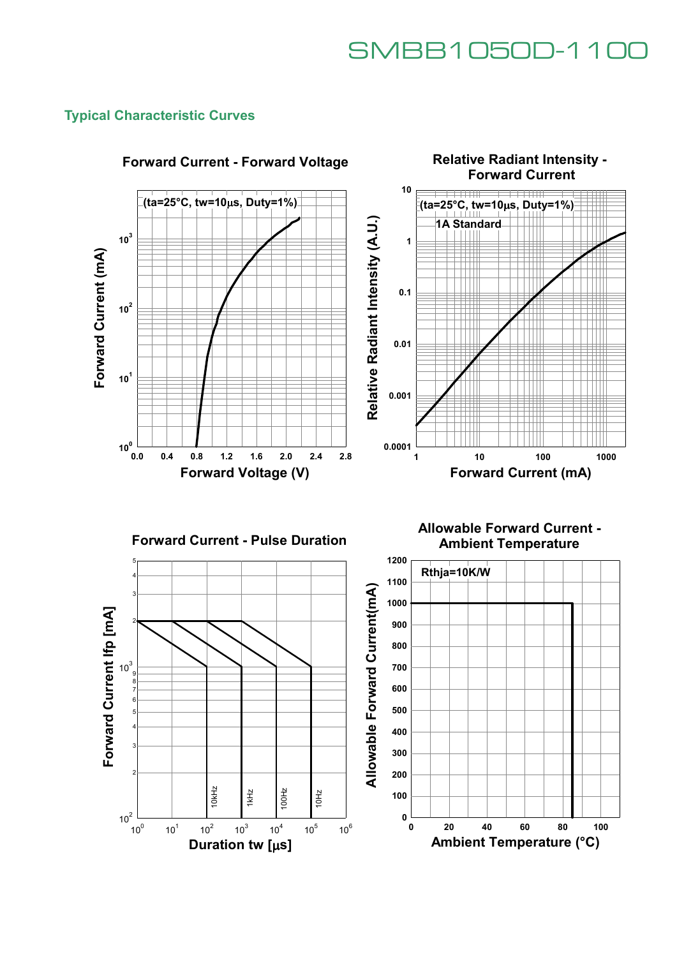### **Typical Characteristic Curves**



### **Forward Current - Forward Voltage**

**Forward Current - Pulse Duration**



**Allowable Forward Current - Ambient Temperature**

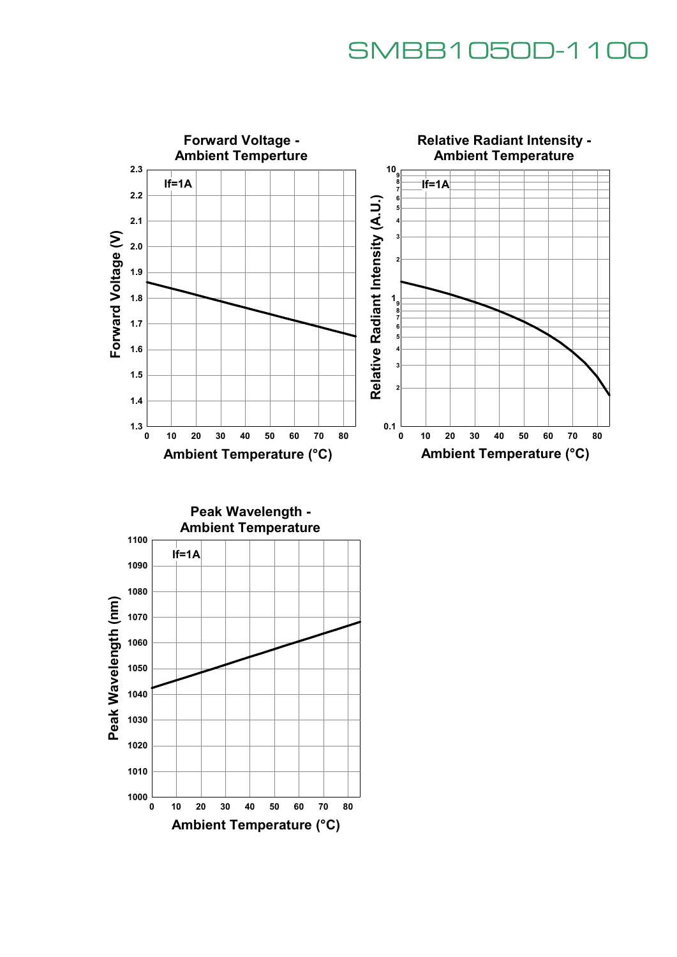

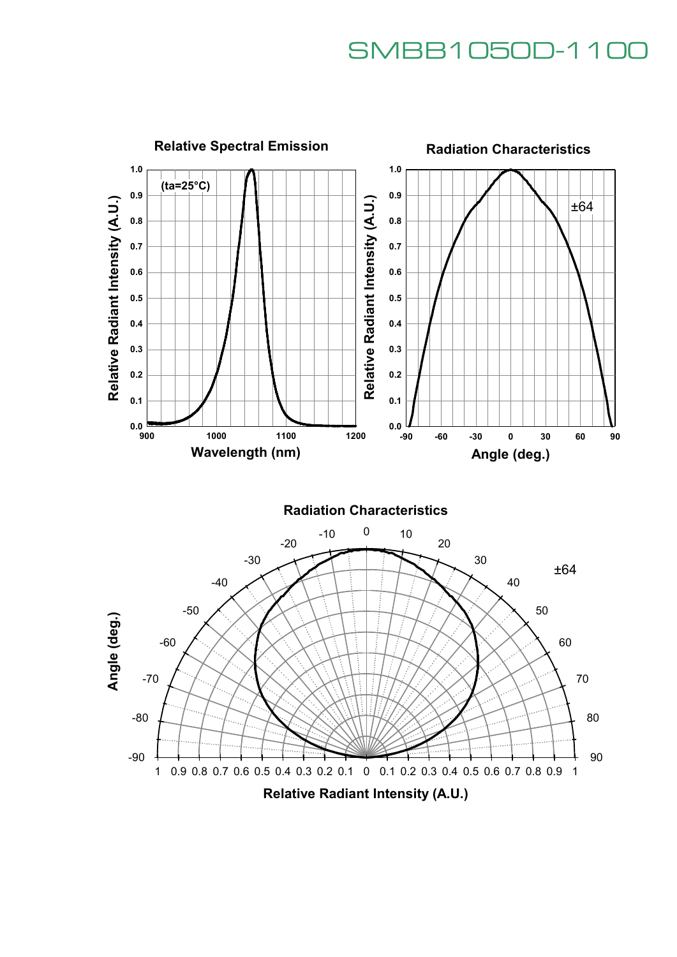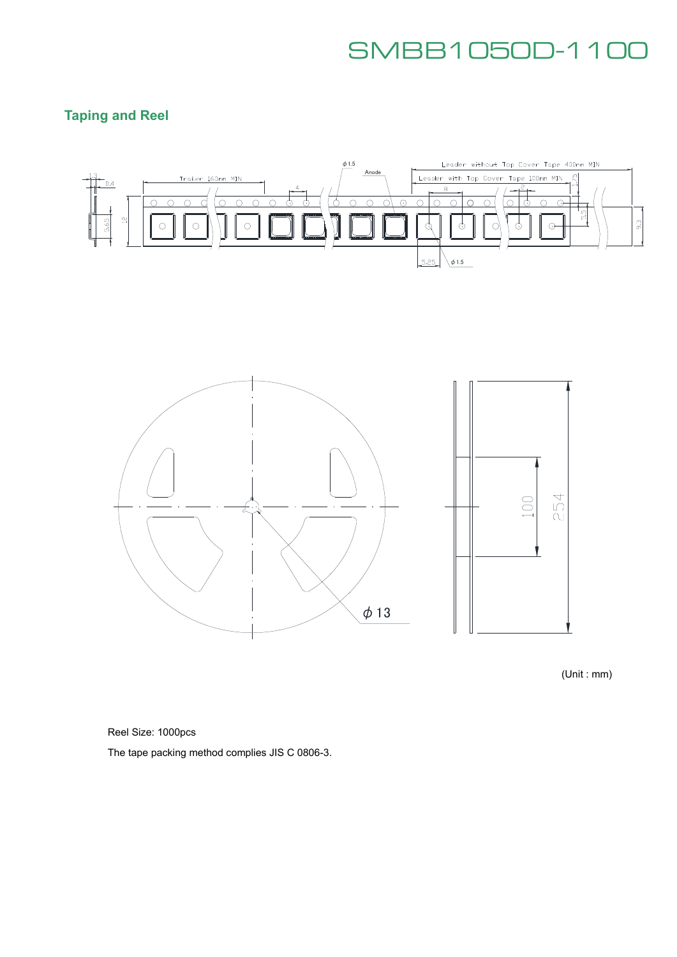## **Taping and Reel**





(Unit : mm)

Reel Size: 1000pcs

The tape packing method complies JIS C 0806-3.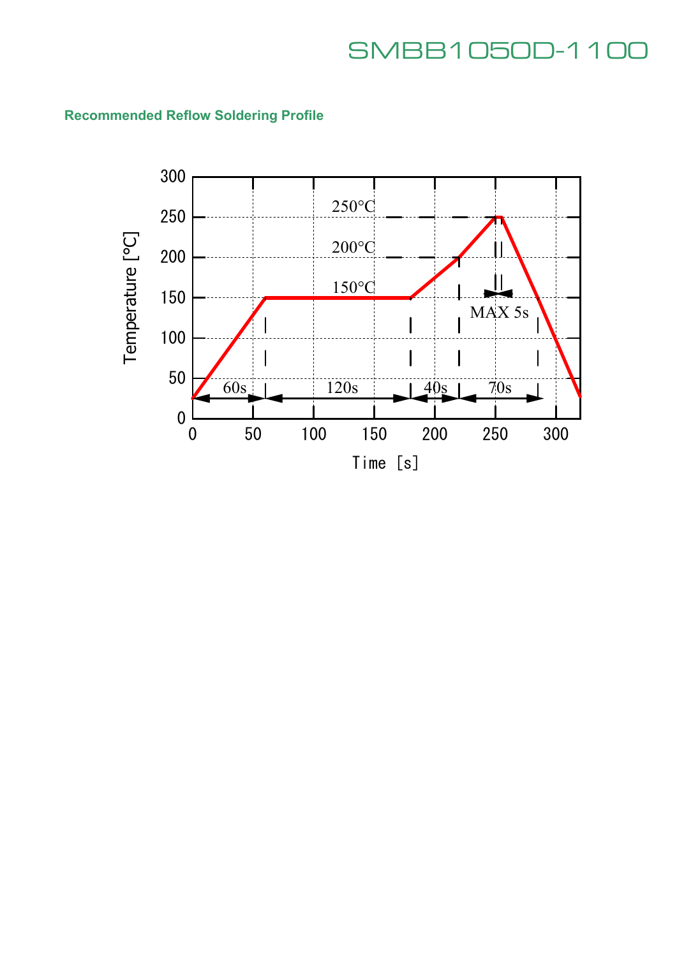

## **Recommended Reflow Soldering Profile**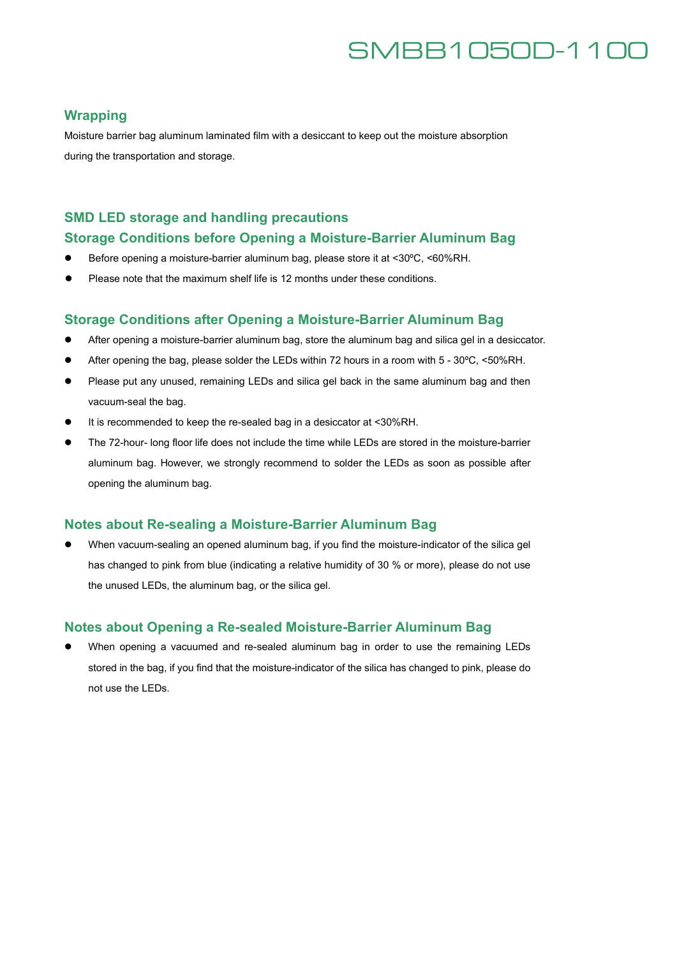### **Wrapping**

Moisture barrier bag aluminum laminated film with a desiccant to keep out the moisture absorption during the transportation and storage.

### **SMD LED storage and handling precautions**

#### **Storage Conditions before Opening a Moisture-Barrier Aluminum Bag**

- Before opening a moisture-barrier aluminum bag, please store it at <30°C, <60%RH.
- Please note that the maximum shelf life is 12 months under these conditions.

#### **Storage Conditions after Opening a Moisture-Barrier Aluminum Bag**

- After opening a moisture-barrier aluminum bag, store the aluminum bag and silica gel in a desiccator.
- After opening the bag, please solder the LEDs within 72 hours in a room with 5 30°C, <50%RH.
- Please put any unused, remaining LEDs and silica gel back in the same aluminum bag and then vacuum-seal the bag.
- It is recommended to keep the re-sealed bag in a desiccator at <30%RH.
- The 72-hour- long floor life does not include the time while LEDs are stored in the moisture-barrier aluminum bag. However, we strongly recommend to solder the LEDs as soon as possible after opening the aluminum bag.

### **Notes about Re-sealing a Moisture-Barrier Aluminum Bag**

 When vacuum-sealing an opened aluminum bag, if you find the moisture-indicator of the silica gel has changed to pink from blue (indicating a relative humidity of 30 % or more), please do not use the unused LEDs, the aluminum bag, or the silica gel.

### **Notes about Opening a Re-sealed Moisture-Barrier Aluminum Bag**

 When opening a vacuumed and re-sealed aluminum bag in order to use the remaining LEDs stored in the bag, if you find that the moisture-indicator of the silica has changed to pink, please do not use the LEDs.